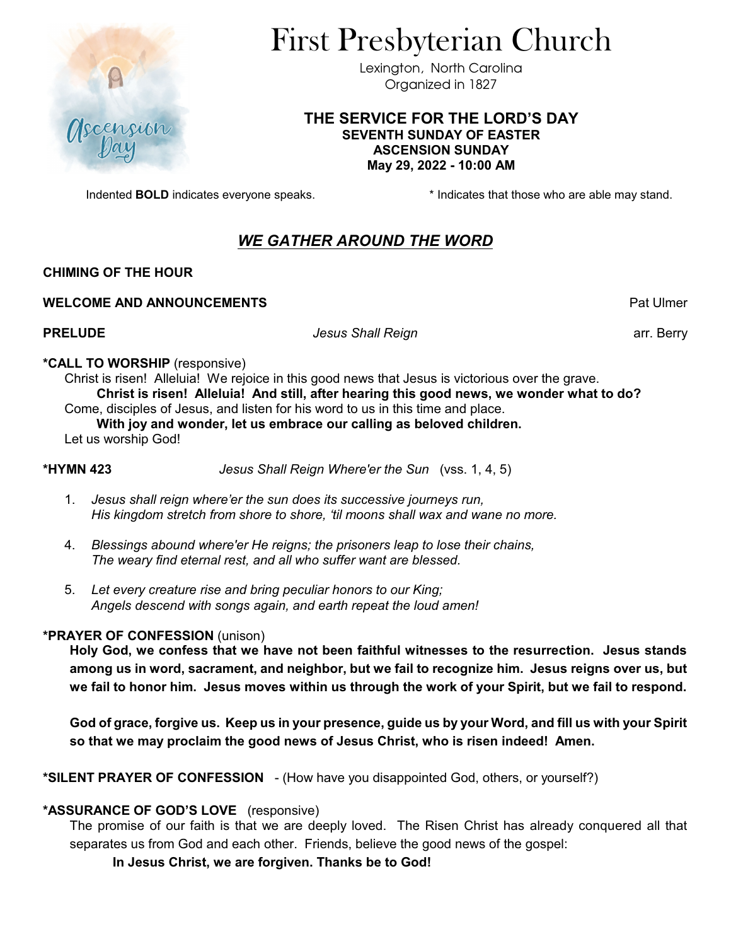

# First Presbyterian Church

Lexington, North Carolina Organized in 1827

### **THE SERVICE FOR THE LORD'S DAY SEVENTH SUNDAY OF EASTER ASCENSION SUNDAY May 29, 2022 - 10:00 AM**

Indented **BOLD** indicates everyone speaks.  $\bullet$  **\*** Indicates that those who are able may stand.

# *WE GATHER AROUND THE WORD*

### **CHIMING OF THE HOUR**

#### **WELCOME AND ANNOUNCEMENTS Pat Ulmer Pat Ulmer**

**PRELUDE** *Jesus Shall Reign* **<b>arrival arrival arrival arrival arrival arrival arrival arrival arrival arrival arrival arrival arrival arrival arrival arrival arrival arrival arrival arrival arrival arrival arrival arriva** 

#### **\*CALL TO WORSHIP** (responsive)

Christ is risen! Alleluia! We rejoice in this good news that Jesus is victorious over the grave. **Christ is risen! Alleluia! And still, after hearing this good news, we wonder what to do?**  Come, disciples of Jesus, and listen for his word to us in this time and place. **With joy and wonder, let us embrace our calling as beloved children.** Let us worship God!

**\*HYMN 423** *Jesus Shall Reign Where'er the Sun* (vss. 1, 4, 5)

- 1. *Jesus shall reign where'er the sun does its successive journeys run, His kingdom stretch from shore to shore, 'til moons shall wax and wane no more.*
- 4. *Blessings abound where'er He reigns; the prisoners leap to lose their chains, The weary find eternal rest, and all who suffer want are blessed.*
- 5. *Let every creature rise and bring peculiar honors to our King; Angels descend with songs again, and earth repeat the loud amen!*

# **\*PRAYER OF CONFESSION** (unison)

**Holy God, we confess that we have not been faithful witnesses to the resurrection. Jesus stands among us in word, sacrament, and neighbor, but we fail to recognize him. Jesus reigns over us, but we fail to honor him. Jesus moves within us through the work of your Spirit, but we fail to respond.**

**God of grace, forgive us. Keep us in your presence, guide us by your Word, and fill us with your Spirit so that we may proclaim the good news of Jesus Christ, who is risen indeed! Amen.**

**\*SILENT PRAYER OF CONFESSION** - (How have you disappointed God, others, or yourself?)

# **\*ASSURANCE OF GOD'S LOVE** (responsive)

The promise of our faith is that we are deeply loved. The Risen Christ has already conquered all that separates us from God and each other. Friends, believe the good news of the gospel:

**In Jesus Christ, we are forgiven. Thanks be to God!**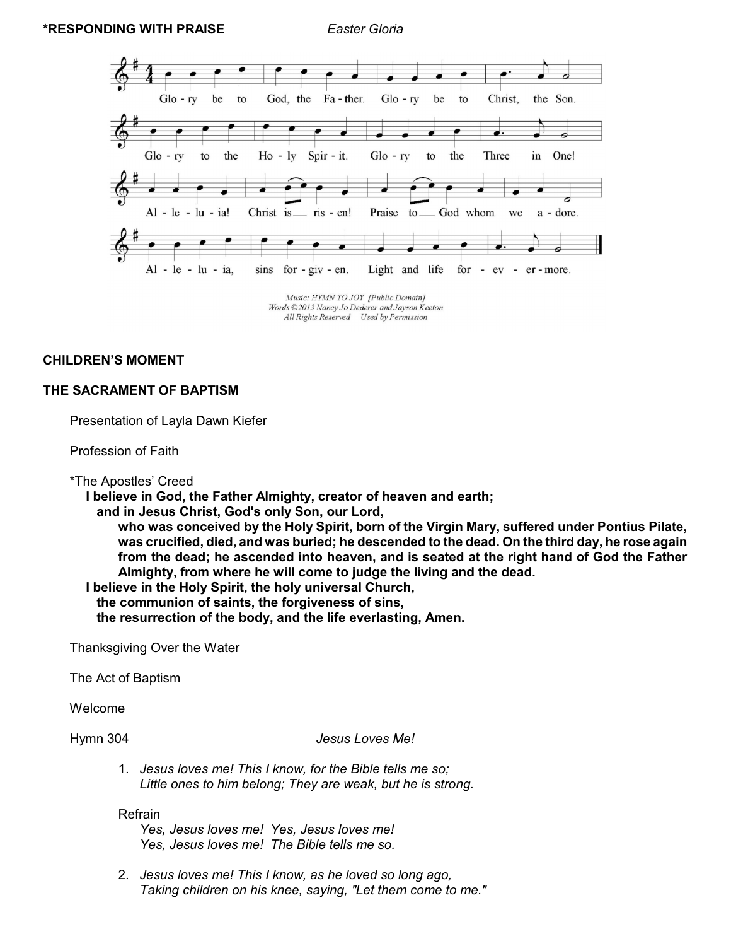

Music: HYMN TO JOY [Public Domain] Words © 2013 Nancy Jo Dederer and Jayson Keeton All Rights Reserved Used by Permission

#### **CHILDREN'S MOMENT**

#### **THE SACRAMENT OF BAPTISM**

Presentation of Layla Dawn Kiefer

Profession of Faith

\*The Apostles' Creed

**I believe in God, the Father Almighty, creator of heaven and earth;**

**and in Jesus Christ, God's only Son, our Lord,**

**who was conceived by the Holy Spirit, born of the Virgin Mary, suffered under Pontius Pilate, was crucified, died, and was buried; he descended to the dead. On the third day, he rose again from the dead; he ascended into heaven, and is seated at the right hand of God the Father Almighty, from where he will come to judge the living and the dead.**

**I believe in the Holy Spirit, the holy universal Church,**

**the communion of saints, the forgiveness of sins,**

**the resurrection of the body, and the life everlasting, Amen.**

Thanksgiving Over the Water

The Act of Baptism

Welcome

Hymn 304 *Jesus Loves Me!*

1. *Jesus loves me! This I know, for the Bible tells me so; Little ones to him belong; They are weak, but he is strong.*

#### Refrain

*Yes, Jesus loves me! Yes, Jesus loves me! Yes, Jesus loves me! The Bible tells me so.*

2. *Jesus loves me! This I know, as he loved so long ago, Taking children on his knee, saying, "Let them come to me."*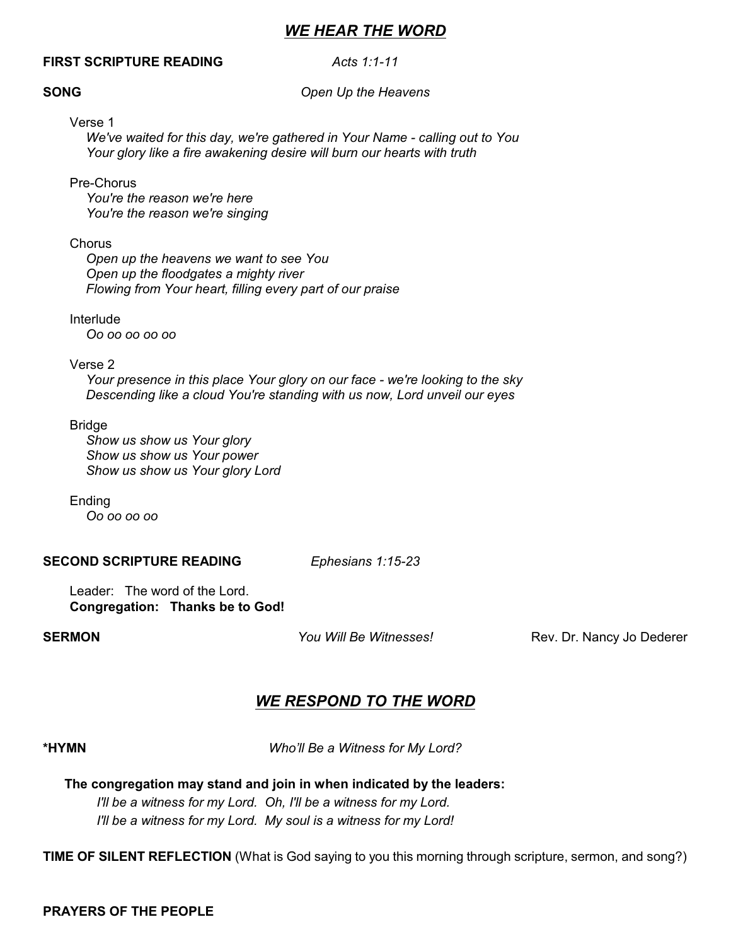# *WE HEAR THE WORD*

#### **FIRST SCRIPTURE READING** *Acts 1:1-11*

**SONG** *Open Up the Heavens*

Verse 1

*We've waited for this day, we're gathered in Your Name - calling out to You Your glory like a fire awakening desire will burn our hearts with truth*

Pre-Chorus

*You're the reason we're here You're the reason we're singing*

#### **Chorus**

*Open up the heavens we want to see You Open up the floodgates a mighty river Flowing from Your heart, filling every part of our praise*

Interlude

*Oo oo oo oo oo*

#### Verse 2

*Your presence in this place Your glory on our face - we're looking to the sky Descending like a cloud You're standing with us now, Lord unveil our eyes*

#### Bridge

*Show us show us Your glory Show us show us Your power Show us show us Your glory Lord*

Ending *Oo oo oo oo*

#### **SECOND SCRIPTURE READING** *Ephesians 1:15-23*

Leader: The word of the Lord. **Congregation: Thanks be to God!**

**SERMON** *You Will Be Witnesses!* **Rev. Dr. Nancy Jo Dederer** 

# *WE RESPOND TO THE WORD*

**\*HYMN** *Who'll Be a Witness for My Lord?*

**The congregation may stand and join in when indicated by the leaders:** *I'll be a witness for my Lord. Oh, I'll be a witness for my Lord. I'll be a witness for my Lord. My soul is a witness for my Lord!*

**TIME OF SILENT REFLECTION** (What is God saying to you this morning through scripture, sermon, and song?)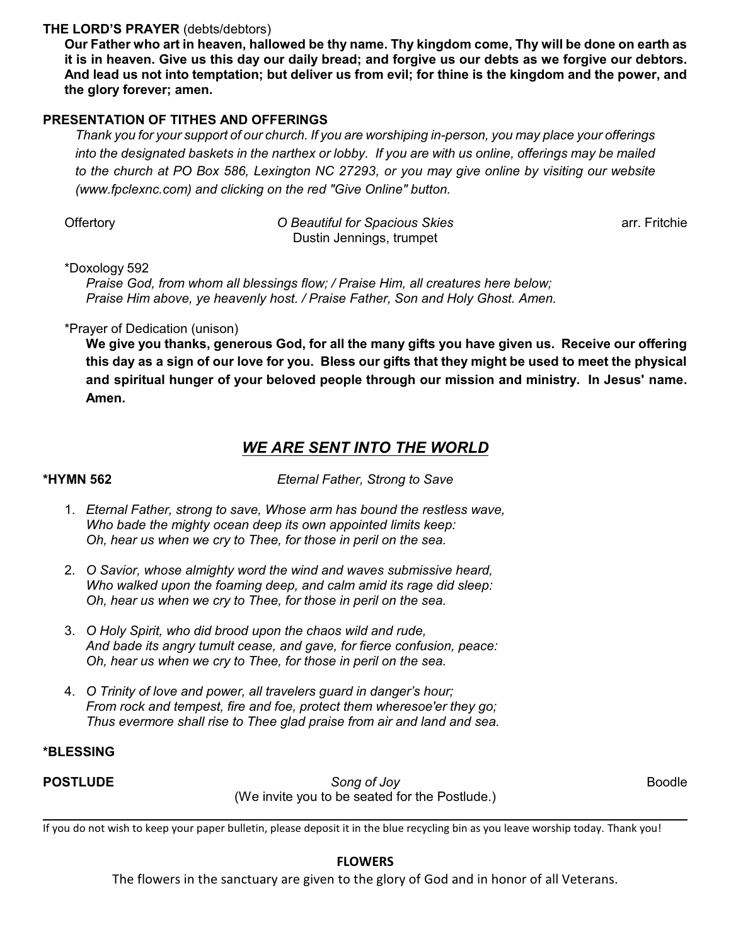#### **THE LORD'S PRAYER** (debts/debtors)

**Our Father who art in heaven, hallowed be thy name. Thy kingdom come, Thy will be done on earth as it is in heaven. Give us this day our daily bread; and forgive us our debts as we forgive our debtors. And lead us not into temptation; but deliver us from evil; for thine is the kingdom and the power, and the glory forever; amen.**

#### **PRESENTATION OF TITHES AND OFFERINGS**

*Thank you for your support of our church. If you are worshiping in-person, you may place your offerings into the designated baskets in the narthex or lobby. If you are with us online, offerings may be mailed to the church at PO Box 586, Lexington NC 27293, or you may give online by visiting our website (www.fpclexnc.com) and clicking on the red "Give Online" button.*

Offertory *O Beautiful for Spacious Skies* arr. Fritchie Dustin Jennings, trumpet

\*Doxology 592

*Praise God, from whom all blessings flow; / Praise Him, all creatures here below; Praise Him above, ye heavenly host. / Praise Father, Son and Holy Ghost. Amen.*

\*Prayer of Dedication (unison)

**We give you thanks, generous God, for all the many gifts you have given us. Receive our offering this day as a sign of our love for you. Bless our gifts that they might be used to meet the physical and spiritual hunger of your beloved people through our mission and ministry. In Jesus' name. Amen.**

# *WE ARE SENT INTO THE WORLD*

**\*HYMN 562** *Eternal Father, Strong to Save*

- 1. *Eternal Father, strong to save, Whose arm has bound the restless wave, Who bade the mighty ocean deep its own appointed limits keep: Oh, hear us when we cry to Thee, for those in peril on the sea.*
- 2. *O Savior, whose almighty word the wind and waves submissive heard, Who walked upon the foaming deep, and calm amid its rage did sleep: Oh, hear us when we cry to Thee, for those in peril on the sea.*
- 3. *O Holy Spirit, who did brood upon the chaos wild and rude, And bade its angry tumult cease, and gave, for fierce confusion, peace: Oh, hear us when we cry to Thee, for those in peril on the sea.*
- 4. *O Trinity of love and power, all travelers guard in danger's hour; From rock and tempest, fire and foe, protect them wheresoe'er they go; Thus evermore shall rise to Thee glad praise from air and land and sea.*

#### **\*BLESSING**

**POSTLUDE** Boodle (We invite you to be seated for the Postlude.)

If you do not wish to keep your paper bulletin, please deposit it in the blue recycling bin as you leave worship today. Thank you!

#### **FLOWERS**

The flowers in the sanctuary are given to the glory of God and in honor of all Veterans.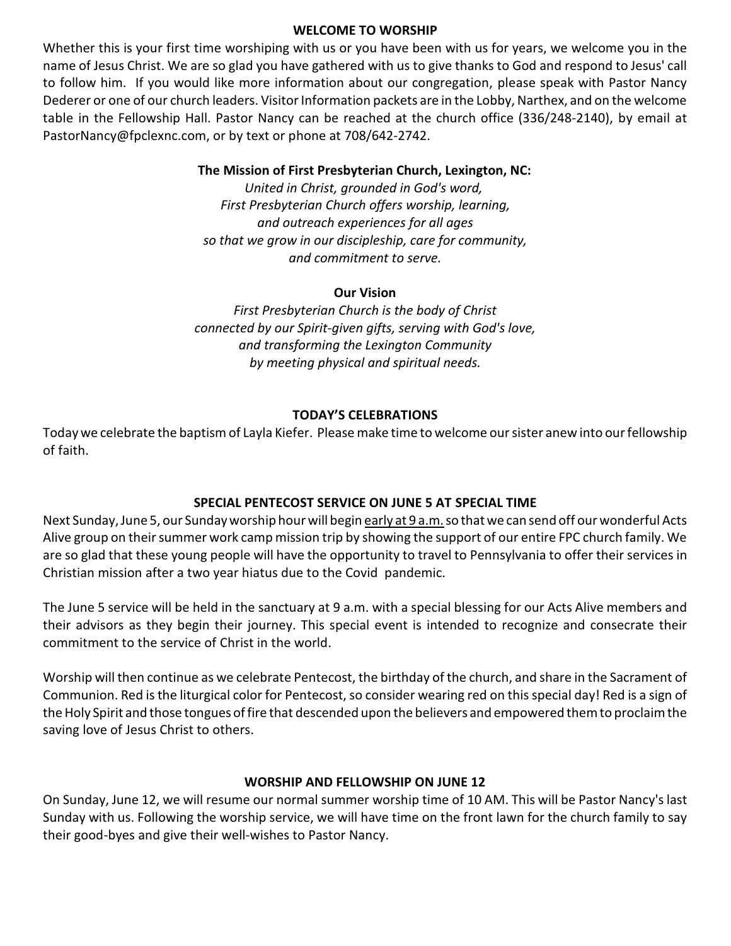#### **WELCOME TO WORSHIP**

Whether this is your first time worshiping with us or you have been with us for years, we welcome you in the name of Jesus Christ. We are so glad you have gathered with us to give thanks to God and respond to Jesus' call to follow him. If you would like more information about our congregation, please speak with Pastor Nancy Dederer or one of our church leaders. Visitor Information packets are in the Lobby, Narthex, and on the welcome table in the Fellowship Hall. Pastor Nancy can be reached at the church office (336/248-2140), by email at PastorNancy@fpclexnc.com, or by text or phone at 708/642-2742.

### **The Mission of First Presbyterian Church, Lexington, NC:**

*United in Christ, grounded in God's word, First Presbyterian Church offers worship, learning, and outreach experiences for all ages so that we grow in our discipleship, care for community, and commitment to serve.*

# **Our Vision**

*First Presbyterian Church is the body of Christ connected by our Spirit-given gifts, serving with God's love, and transforming the Lexington Community by meeting physical and spiritual needs.*

# **TODAY'S CELEBRATIONS**

Today we celebrate the baptism of Layla Kiefer. Please make time to welcome our sister anew into our fellowship of faith.

# **SPECIAL PENTECOST SERVICE ON JUNE 5 AT SPECIAL TIME**

Next Sunday, June 5, our Sunday worship hour will begin early at 9 a.m. so that we can send off our wonderful Acts Alive group on their summer work camp mission trip by showing the support of our entire FPC church family. We are so glad that these young people will have the opportunity to travel to Pennsylvania to offer their services in Christian mission after a two year hiatus due to the Covid pandemic.

The June 5 service will be held in the sanctuary at 9 a.m. with a special blessing for our Acts Alive members and their advisors as they begin their journey. This special event is intended to recognize and consecrate their commitment to the service of Christ in the world.

Worship will then continue as we celebrate Pentecost, the birthday of the church, and share in the Sacrament of Communion. Red is the liturgical color for Pentecost, so consider wearing red on this special day! Red is a sign of the Holy Spirit and those tongues offire that descended upon the believers and empowered them to proclaim the saving love of Jesus Christ to others.

# **WORSHIP AND FELLOWSHIP ON JUNE 12**

On Sunday, June 12, we will resume our normal summer worship time of 10 AM. This will be Pastor Nancy's last Sunday with us. Following the worship service, we will have time on the front lawn for the church family to say their good-byes and give their well-wishes to Pastor Nancy.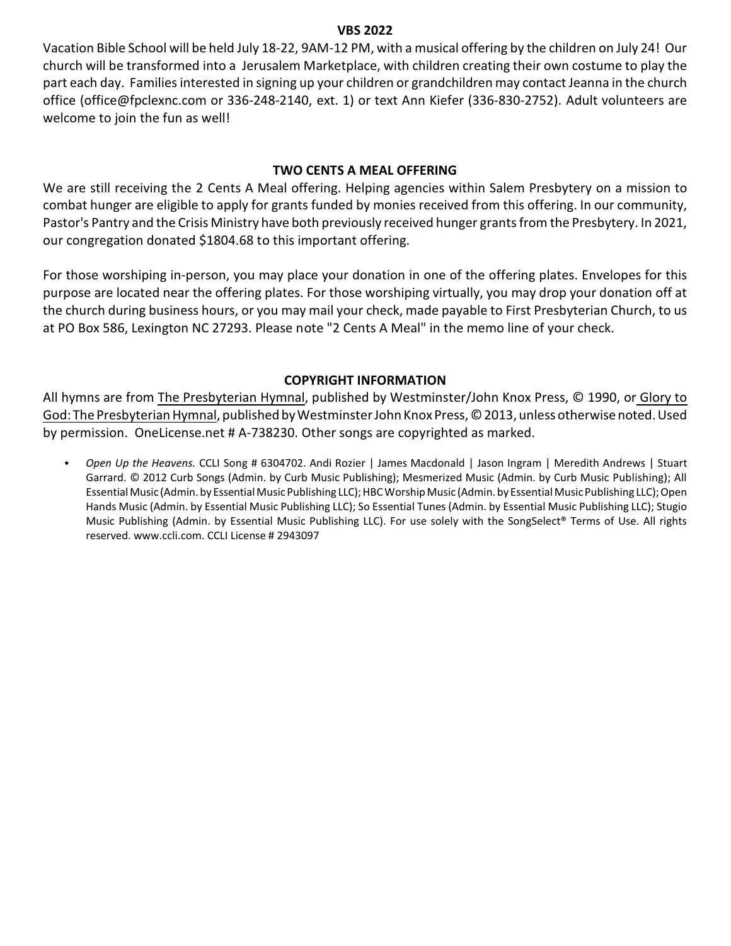#### **VBS 2022**

Vacation Bible School will be held July 18-22, 9AM-12 PM, with a musical offering by the children on July 24! Our church will be transformed into a Jerusalem Marketplace, with children creating their own costume to play the part each day. Families interested in signing up your children or grandchildren may contact Jeanna in the church office (office@fpclexnc.com or 336-248-2140, ext. 1) or text Ann Kiefer (336-830-2752). Adult volunteers are welcome to join the fun as well!

#### **TWO CENTS A MEAL OFFERING**

We are still receiving the 2 Cents A Meal offering. Helping agencies within Salem Presbytery on a mission to combat hunger are eligible to apply for grants funded by monies received from this offering. In our community, Pastor's Pantry and the Crisis Ministry have both previously received hunger grants from the Presbytery. In 2021, our congregation donated \$1804.68 to this important offering.

For those worshiping in-person, you may place your donation in one of the offering plates. Envelopes for this purpose are located near the offering plates. For those worshiping virtually, you may drop your donation off at the church during business hours, or you may mail your check, made payable to First Presbyterian Church, to us at PO Box 586, Lexington NC 27293. Please note "2 Cents A Meal" in the memo line of your check.

#### **COPYRIGHT INFORMATION**

All hymns are from The Presbyterian Hymnal, published by Westminster/John Knox Press, © 1990, or Glory to God: The Presbyterian Hymnal, published by Westminster John Knox Press, © 2013, unless otherwise noted. Used by permission. OneLicense.net # A-738230. Other songs are copyrighted as marked.

C *Open Up the Heavens.* CCLI Song # 6304702. Andi Rozier | James Macdonald | Jason Ingram | Meredith Andrews | Stuart Garrard. © 2012 Curb Songs (Admin. by Curb Music Publishing); Mesmerized Music (Admin. by Curb Music Publishing); All Essential Music (Admin.by Essential Music Publishing LLC); HBC WorshipMusic (Admin.by Essential Music Publishing LLC); Open Hands Music (Admin. by Essential Music Publishing LLC); So Essential Tunes (Admin. by Essential Music Publishing LLC); Stugio Music Publishing (Admin. by Essential Music Publishing LLC). For use solely with the SongSelect® Terms of Use. All rights reserved. www.ccli.com. CCLI License # 2943097